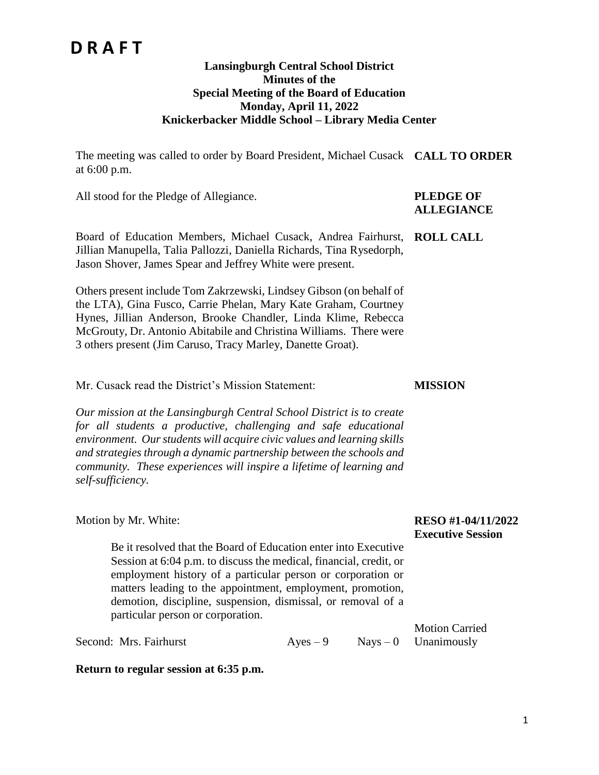#### **Lansingburgh Central School District Minutes of the Special Meeting of the Board of Education Monday, April 11, 2022 Knickerbacker Middle School – Library Media Center**

The meeting was called to order by Board President, Michael Cusack **CALL TO ORDER** at 6:00 p.m.

All stood for the Pledge of Allegiance. **PLEDGE OF** 

# **ALLEGIANCE**

Board of Education Members, Michael Cusack, Andrea Fairhurst, **ROLL CALL** Jillian Manupella, Talia Pallozzi, Daniella Richards, Tina Rysedorph, Jason Shover, James Spear and Jeffrey White were present.

Others present include Tom Zakrzewski, Lindsey Gibson (on behalf of the LTA), Gina Fusco, Carrie Phelan, Mary Kate Graham, Courtney Hynes, Jillian Anderson, Brooke Chandler, Linda Klime, Rebecca McGrouty, Dr. Antonio Abitabile and Christina Williams. There were 3 others present (Jim Caruso, Tracy Marley, Danette Groat).

Mr. Cusack read the District's Mission Statement:

*Our mission at the Lansingburgh Central School District is to create for all students a productive, challenging and safe educational environment. Our students will acquire civic values and learning skills and strategies through a dynamic partnership between the schools and community. These experiences will inspire a lifetime of learning and self-sufficiency.*

| Motion by Mr. White:                                                                                                                                                                                                                                            | <b>RESO #1-04/11</b><br><b>Executive Sessi</b> |
|-----------------------------------------------------------------------------------------------------------------------------------------------------------------------------------------------------------------------------------------------------------------|------------------------------------------------|
| Be it resolved that the Board of Education enter into Executive                                                                                                                                                                                                 |                                                |
| Session at 6:04 p.m. to discuss the medical, financial, credit, or<br>employment history of a particular person or corporation or<br>matters leading to the appointment, employment, promotion,<br>demotion, discipline, suspension, dismissal, or removal of a |                                                |
| particular person or corporation.                                                                                                                                                                                                                               |                                                |
|                                                                                                                                                                                                                                                                 | <b>Motion Carried</b>                          |

Second: Mrs. Fairhurst Ayes – 9 Nays – 0 Unanimously

**Return to regular session at 6:35 p.m.**

#### **RESO #1-04/11/2022 ion**

**MISSION**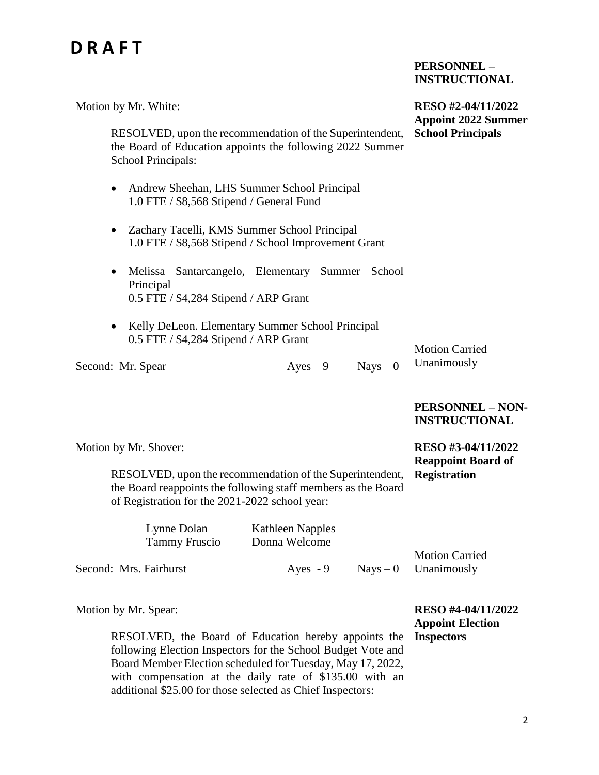#### **PERSONNEL – INSTRUCTIONAL**

| Motion by Mr. White:                                                                                                                        | RESO #2-04/11/2022<br><b>Appoint 2022 Summer</b> |  |
|---------------------------------------------------------------------------------------------------------------------------------------------|--------------------------------------------------|--|
| RESOLVED, upon the recommendation of the Superintendent,<br>the Board of Education appoints the following 2022 Summer<br>School Principals: | <b>School Principals</b>                         |  |
| Andrew Sheehan, LHS Summer School Principal<br>$\bullet$<br>1.0 FTE / \$8,568 Stipend / General Fund                                        |                                                  |  |
| Zachary Tacelli, KMS Summer School Principal<br>$\bullet$<br>1.0 FTE / \$8,568 Stipend / School Improvement Grant                           |                                                  |  |
| Melissa Santarcangelo, Elementary Summer<br>School<br>$\bullet$<br>Principal<br>0.5 FTE / \$4,284 Stipend / ARP Grant                       |                                                  |  |
| Kelly DeLeon. Elementary Summer School Principal<br>$\bullet$<br>0.5 FTE / \$4,284 Stipend / ARP Grant                                      | <b>Motion Carried</b>                            |  |
| $Nays - 0$<br>$Ayes - 9$<br>Second: Mr. Spear                                                                                               | Unanimously                                      |  |
|                                                                                                                                             | <b>PERSONNEL - NON-</b><br><b>INSTRUCTIONAL</b>  |  |
| Motion by Mr. Shover:                                                                                                                       | RESO #3-04/11/2022<br><b>Reappoint Board of</b>  |  |
| RESOLVED, upon the recommendation of the Superintendent,<br>the Board reappoints the following staff members as the Board                   | <b>Registration</b>                              |  |

of Registration for the 2021-2022 school year:

|                        | Lynne Dolan          | Kathleen Napples |                        |  |
|------------------------|----------------------|------------------|------------------------|--|
|                        | <b>Tammy Fruscio</b> | Donna Welcome    |                        |  |
|                        |                      |                  | <b>Motion Carried</b>  |  |
| Second: Mrs. Fairhurst |                      | Aves $-9$        | $Nays - 0$ Unanimously |  |

Motion by Mr. Spear:

RESOLVED, the Board of Education hereby appoints the following Election Inspectors for the School Budget Vote and Board Member Election scheduled for Tuesday, May 17, 2022, with compensation at the daily rate of \$135.00 with an additional \$25.00 for those selected as Chief Inspectors:

**RESO #4-04/11/2022 Appoint Election Inspectors**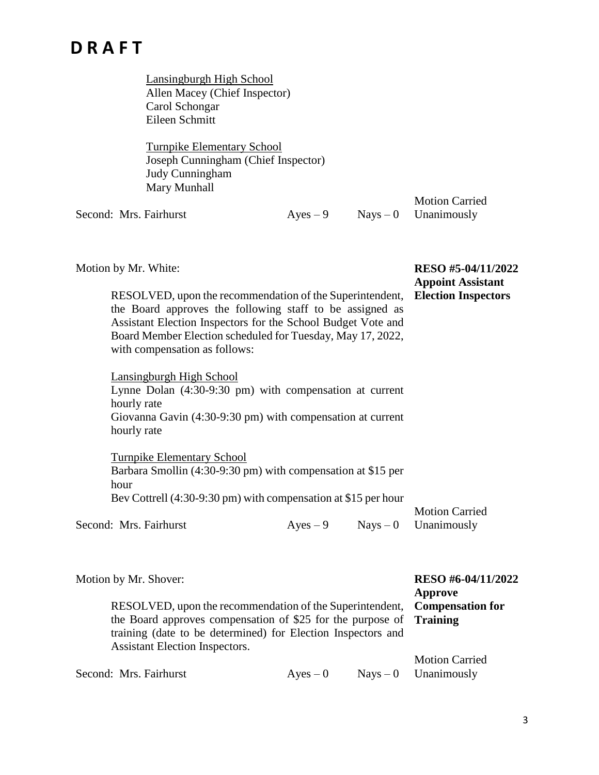Lansingburgh High School Allen Macey (Chief Inspector) Carol Schongar Eileen Schmitt

Turnpike Elementary School Joseph Cunningham (Chief Inspector) Judy Cunningham Mary Munhall

Second: Mrs. Fairhurst  $\qquad \qquad \text{Ayes} - 9 \qquad \text{Nays} - 0$ 

Motion Carried Unanimously

| Motion by Mr. White:                                                                                                                                                                                                                                                                |                                                                                                                           |  |  | RESO #5-04/11/2022<br><b>Appoint Assistant</b> |  |
|-------------------------------------------------------------------------------------------------------------------------------------------------------------------------------------------------------------------------------------------------------------------------------------|---------------------------------------------------------------------------------------------------------------------------|--|--|------------------------------------------------|--|
| RESOLVED, upon the recommendation of the Superintendent,<br>the Board approves the following staff to be assigned as<br>Assistant Election Inspectors for the School Budget Vote and<br>Board Member Election scheduled for Tuesday, May 17, 2022,<br>with compensation as follows: |                                                                                                                           |  |  | <b>Election Inspectors</b>                     |  |
|                                                                                                                                                                                                                                                                                     | Lansingburgh High School                                                                                                  |  |  |                                                |  |
|                                                                                                                                                                                                                                                                                     | Lynne Dolan (4:30-9:30 pm) with compensation at current<br>hourly rate                                                    |  |  |                                                |  |
|                                                                                                                                                                                                                                                                                     | Giovanna Gavin (4:30-9:30 pm) with compensation at current                                                                |  |  |                                                |  |
|                                                                                                                                                                                                                                                                                     | hourly rate                                                                                                               |  |  |                                                |  |
|                                                                                                                                                                                                                                                                                     | <b>Turnpike Elementary School</b>                                                                                         |  |  |                                                |  |
|                                                                                                                                                                                                                                                                                     | Barbara Smollin (4:30-9:30 pm) with compensation at \$15 per                                                              |  |  |                                                |  |
|                                                                                                                                                                                                                                                                                     | hour                                                                                                                      |  |  |                                                |  |
|                                                                                                                                                                                                                                                                                     | Bev Cottrell (4:30-9:30 pm) with compensation at \$15 per hour                                                            |  |  | <b>Motion Carried</b>                          |  |
|                                                                                                                                                                                                                                                                                     | Second: Mrs. Fairhurst                                                                                                    |  |  | $Ayes - 9$ Nays $-0$ Unanimously               |  |
|                                                                                                                                                                                                                                                                                     | Motion by Mr. Shover:                                                                                                     |  |  | RESO #6-04/11/2022<br><b>Approve</b>           |  |
|                                                                                                                                                                                                                                                                                     | <b>DECOLUED</b> $\ldots$ depends on $\mathcal{L}$ and $\mathcal{L}$ and $\mathcal{L}$ and $\mathcal{L}$ and $\mathcal{L}$ |  |  |                                                |  |

|                                                                            | Approve               |
|----------------------------------------------------------------------------|-----------------------|
| RESOLVED, upon the recommendation of the Superintendent, Compensation for  |                       |
| the Board approves compensation of \$25 for the purpose of <b>Training</b> |                       |
| training (date to be determined) for Election Inspectors and               |                       |
| <b>Assistant Election Inspectors.</b>                                      |                       |
|                                                                            | <b>Motion Carried</b> |

| Second: Mrs. Fairhurst | $Aves - 0$ | $Nays - 0$ Unanimously |
|------------------------|------------|------------------------|
|                        |            |                        |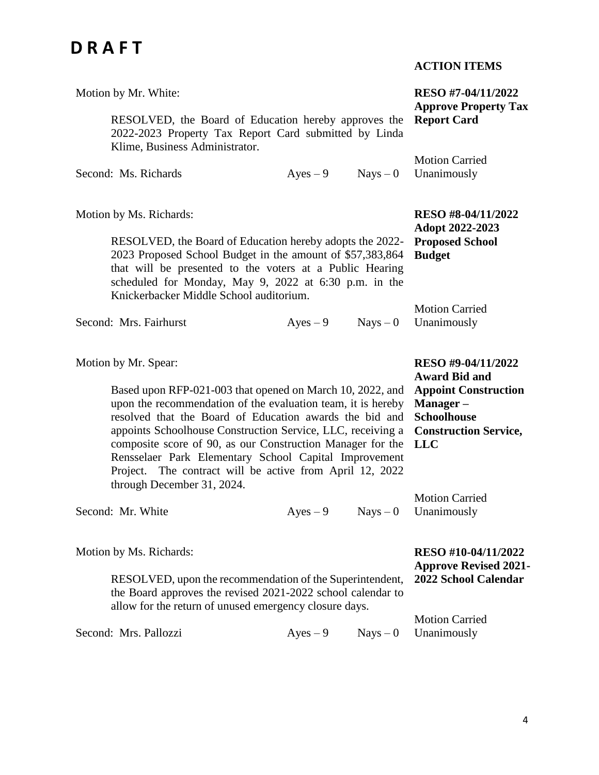| Motion by Mr. White:                                                                                                                                                                                                                                                                                                                                                                                                                                                                         |                                                                                                                                                           |            | RESO #7-04/11/2022<br><b>Approve Property Tax</b>                                |
|----------------------------------------------------------------------------------------------------------------------------------------------------------------------------------------------------------------------------------------------------------------------------------------------------------------------------------------------------------------------------------------------------------------------------------------------------------------------------------------------|-----------------------------------------------------------------------------------------------------------------------------------------------------------|------------|----------------------------------------------------------------------------------|
| RESOLVED, the Board of Education hereby approves the<br>2022-2023 Property Tax Report Card submitted by Linda<br>Klime, Business Administrator.                                                                                                                                                                                                                                                                                                                                              |                                                                                                                                                           |            | <b>Report Card</b>                                                               |
| Second: Ms. Richards                                                                                                                                                                                                                                                                                                                                                                                                                                                                         | $Ayes - 9$                                                                                                                                                | $Nays - 0$ | <b>Motion Carried</b><br>Unanimously                                             |
| Motion by Ms. Richards:<br>RESOLVED, the Board of Education hereby adopts the 2022-<br>2023 Proposed School Budget in the amount of \$57,383,864<br>that will be presented to the voters at a Public Hearing<br>scheduled for Monday, May 9, 2022 at 6:30 p.m. in the<br>Knickerbacker Middle School auditorium.                                                                                                                                                                             |                                                                                                                                                           |            | RESO #8-04/11/2022<br>Adopt 2022-2023<br><b>Proposed School</b><br><b>Budget</b> |
| Second: Mrs. Fairhurst                                                                                                                                                                                                                                                                                                                                                                                                                                                                       | $Ayes - 9$                                                                                                                                                | $Nays - 0$ | <b>Motion Carried</b><br>Unanimously                                             |
| Motion by Mr. Spear:<br>Based upon RFP-021-003 that opened on March 10, 2022, and<br>upon the recommendation of the evaluation team, it is hereby<br>resolved that the Board of Education awards the bid and<br>appoints Schoolhouse Construction Service, LLC, receiving a<br>composite score of 90, as our Construction Manager for the<br>Rensselaer Park Elementary School Capital Improvement<br>Project. The contract will be active from April 12, 2022<br>through December 31, 2024. | RESO #9-04/11/2022<br><b>Award Bid and</b><br><b>Appoint Construction</b><br>Manager-<br><b>Schoolhouse</b><br><b>Construction Service,</b><br><b>LLC</b> |            |                                                                                  |
| Second: Mr. White                                                                                                                                                                                                                                                                                                                                                                                                                                                                            | $Ayes - 9$                                                                                                                                                | $Nays - 0$ | <b>Motion Carried</b><br>Unanimously                                             |
| Motion by Ms. Richards:<br>RESOLVED, upon the recommendation of the Superintendent,<br>the Board approves the revised 2021-2022 school calendar to<br>allow for the return of unused emergency closure days.                                                                                                                                                                                                                                                                                 |                                                                                                                                                           |            | RESO #10-04/11/2022<br><b>Approve Revised 2021-</b><br>2022 School Calendar      |
| Second: Mrs. Pallozzi                                                                                                                                                                                                                                                                                                                                                                                                                                                                        | $Ayes - 9$                                                                                                                                                | $Nays - 0$ | <b>Motion Carried</b><br>Unanimously                                             |

#### **ACTION ITEMS**